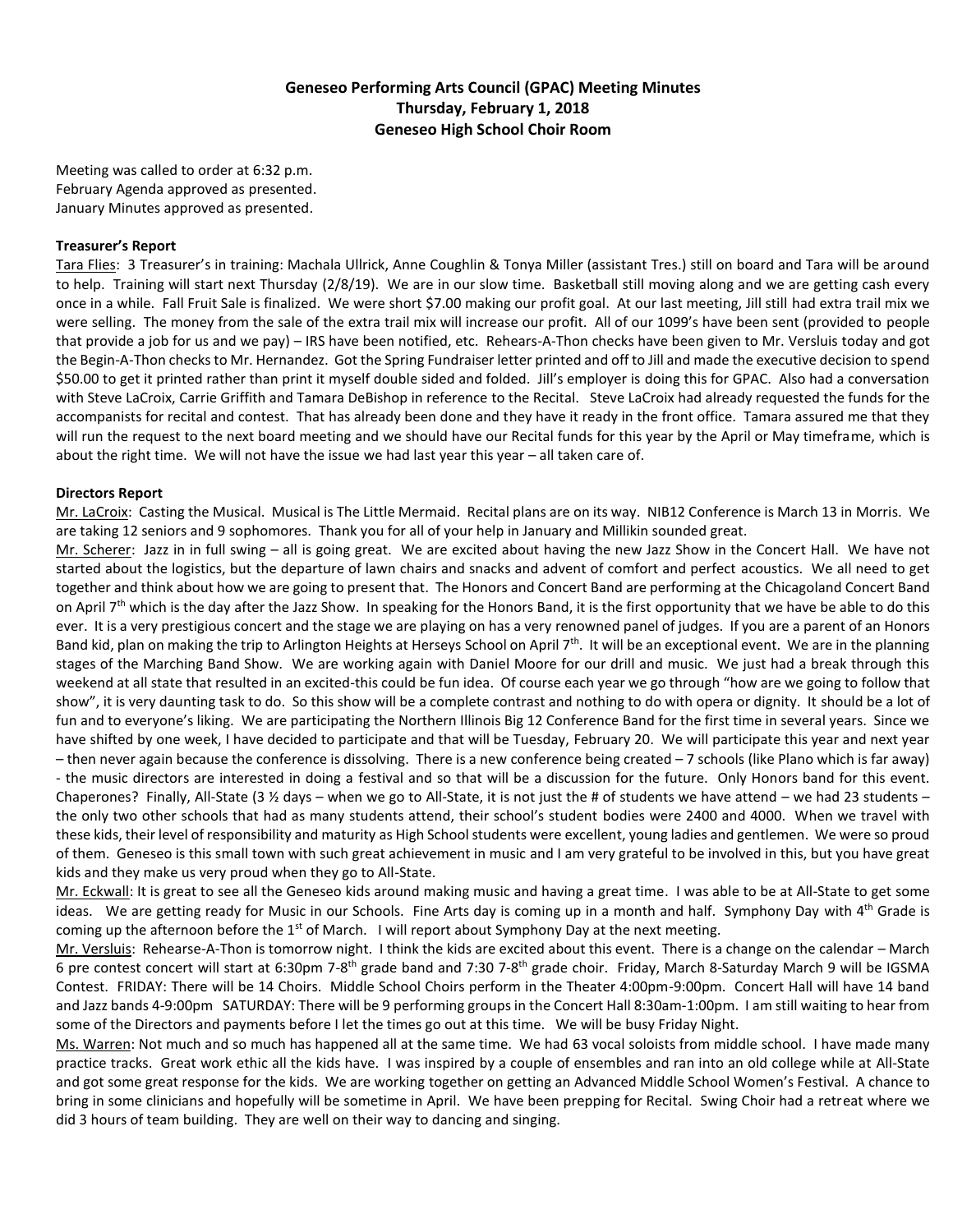# **Geneseo Performing Arts Council (GPAC) Meeting Minutes Thursday, February 1, 2018 Geneseo High School Choir Room**

Meeting was called to order at 6:32 p.m. February Agenda approved as presented. January Minutes approved as presented.

### **Treasurer's Report**

Tara Flies: 3 Treasurer's in training: Machala Ullrick, Anne Coughlin & Tonya Miller (assistant Tres.) still on board and Tara will be around to help. Training will start next Thursday (2/8/19). We are in our slow time. Basketball still moving along and we are getting cash every once in a while. Fall Fruit Sale is finalized. We were short \$7.00 making our profit goal. At our last meeting, Jill still had extra trail mix we were selling. The money from the sale of the extra trail mix will increase our profit. All of our 1099's have been sent (provided to people that provide a job for us and we pay) – IRS have been notified, etc. Rehears-A-Thon checks have been given to Mr. Versluis today and got the Begin-A-Thon checks to Mr. Hernandez. Got the Spring Fundraiser letter printed and off to Jill and made the executive decision to spend \$50.00 to get it printed rather than print it myself double sided and folded. Jill's employer is doing this for GPAC. Also had a conversation with Steve LaCroix, Carrie Griffith and Tamara DeBishop in reference to the Recital. Steve LaCroix had already requested the funds for the accompanists for recital and contest. That has already been done and they have it ready in the front office. Tamara assured me that they will run the request to the next board meeting and we should have our Recital funds for this year by the April or May timeframe, which is about the right time. We will not have the issue we had last year this year - all taken care of.

#### **Directors Report**

Mr. LaCroix: Casting the Musical. Musical is The Little Mermaid. Recital plans are on its way. NIB12 Conference is March 13 in Morris. We are taking 12 seniors and 9 sophomores. Thank you for all of your help in January and Millikin sounded great.

Mr. Scherer: Jazz in in full swing – all is going great. We are excited about having the new Jazz Show in the Concert Hall. We have not started about the logistics, but the departure of lawn chairs and snacks and advent of comfort and perfect acoustics. We all need to get together and think about how we are going to present that. The Honors and Concert Band are performing at the Chicagoland Concert Band on April 7<sup>th</sup> which is the day after the Jazz Show. In speaking for the Honors Band, it is the first opportunity that we have be able to do this ever. It is a very prestigious concert and the stage we are playing on has a very renowned panel of judges. If you are a parent of an Honors Band kid, plan on making the trip to Arlington Heights at Herseys School on April 7<sup>th</sup>. It will be an exceptional event. We are in the planning stages of the Marching Band Show. We are working again with Daniel Moore for our drill and music. We just had a break through this weekend at all state that resulted in an excited-this could be fun idea. Of course each year we go through "how are we going to follow that show", it is very daunting task to do. So this show will be a complete contrast and nothing to do with opera or dignity. It should be a lot of fun and to everyone's liking. We are participating the Northern Illinois Big 12 Conference Band for the first time in several years. Since we have shifted by one week, I have decided to participate and that will be Tuesday, February 20. We will participate this year and next year – then never again because the conference is dissolving. There is a new conference being created – 7 schools (like Plano which is far away) - the music directors are interested in doing a festival and so that will be a discussion for the future. Only Honors band for this event. Chaperones? Finally, All-State (3  $\frac{1}{2}$  days – when we go to All-State, it is not just the # of students we have attend – we had 23 students – the only two other schools that had as many students attend, their school's student bodies were 2400 and 4000. When we travel with these kids, their level of responsibility and maturity as High School students were excellent, young ladies and gentlemen. We were so proud of them. Geneseo is this small town with such great achievement in music and I am very grateful to be involved in this, but you have great kids and they make us very proud when they go to All-State.

Mr. Eckwall: It is great to see all the Geneseo kids around making music and having a great time. I was able to be at All-State to get some ideas. We are getting ready for Music in our Schools. Fine Arts day is coming up in a month and half. Symphony Day with 4<sup>th</sup> Grade is coming up the afternoon before the  $1<sup>st</sup>$  of March. I will report about Symphony Day at the next meeting.

Mr. Versluis: Rehearse-A-Thon is tomorrow night. I think the kids are excited about this event. There is a change on the calendar – March 6 pre contest concert will start at 6:30pm 7-8<sup>th</sup> grade band and 7:30 7-8<sup>th</sup> grade choir. Friday, March 8-Saturday March 9 will be IGSMA Contest. FRIDAY: There will be 14 Choirs. Middle School Choirs perform in the Theater 4:00pm-9:00pm. Concert Hall will have 14 band and Jazz bands 4-9:00pm SATURDAY: There will be 9 performing groups in the Concert Hall 8:30am-1:00pm. I am still waiting to hear from some of the Directors and payments before I let the times go out at this time. We will be busy Friday Night.

Ms. Warren: Not much and so much has happened all at the same time. We had 63 vocal soloists from middle school. I have made many practice tracks. Great work ethic all the kids have. I was inspired by a couple of ensembles and ran into an old college while at All-State and got some great response for the kids. We are working together on getting an Advanced Middle School Women's Festival. A chance to bring in some clinicians and hopefully will be sometime in April. We have been prepping for Recital. Swing Choir had a retreat where we did 3 hours of team building. They are well on their way to dancing and singing.